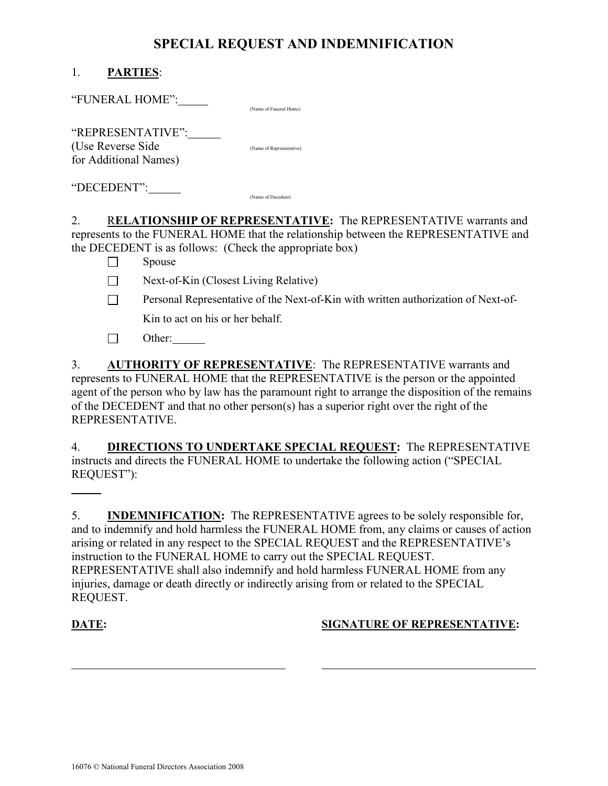## SPECIAL REQUEST AND INDEMNIFICATION

| <b>PARTIES:</b> |
|-----------------|
|                 |

"FUNERAL HOME": (Name of Funeral Home)

| "REPRESENTATIVE":     |                          |
|-----------------------|--------------------------|
| (Use Reverse Side)    | (Name of Representative) |
| for Additional Names) |                          |

"DECEDENT": (Name of Decedent)

2. RELATIONSHIP OF REPRESENTATIVE: The REPRESENTATIVE warrants and represents to the FUNERAL HOME that the relationship between the REPRESENTATIVE and the DECEDENT is as follows: (Check the appropriate box)

 $\Box$  Spouse

- $\Box$  Next-of-Kin (Closest Living Relative)
- **Personal Representative of the Next-of-Kin with written authorization of Next-of-**Kin to act on his or her behalf.
- $\Box$  Other:

3. AUTHORITY OF REPRESENTATIVE: The REPRESENTATIVE warrants and represents to FUNERAL HOME that the REPRESENTATIVE is the person or the appointed agent of the person who by law has the paramount right to arrange the disposition of the remains of the DECEDENT and that no other person(s) has a superior right over the right of the REPRESENTATIVE.

4. DIRECTIONS TO UNDERTAKE SPECIAL REQUEST: The REPRESENTATIVE instructs and directs the FUNERAL HOME to undertake the following action ("SPECIAL REQUEST"):

5. INDEMNIFICATION: The REPRESENTATIVE agrees to be solely responsible for, and to indemnify and hold harmless the FUNERAL HOME from, any claims or causes of action arising or related in any respect to the SPECIAL REQUEST and the REPRESENTATIVE's instruction to the FUNERAL HOME to carry out the SPECIAL REQUEST. REPRESENTATIVE shall also indemnify and hold harmless FUNERAL HOME from any injuries, damage or death directly or indirectly arising from or related to the SPECIAL REQUEST.

 $\overline{a}$ 

 $\overline{a}$ 

## DATE: SIGNATURE OF REPRESENTATIVE: